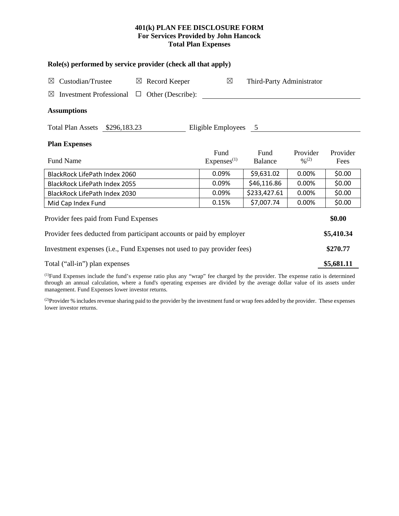# **401(k) PLAN FEE DISCLOSURE FORM For Services Provided by John Hancock Total Plan Expenses**

| Role(s) performed by service provider (check all that apply)                                                                         |                                |                           |                                          |                  |  |  |  |  |
|--------------------------------------------------------------------------------------------------------------------------------------|--------------------------------|---------------------------|------------------------------------------|------------------|--|--|--|--|
| Custodian/Trustee<br>$\boxtimes$ Record Keeper<br>⊠                                                                                  | $\boxtimes$                    | Third-Party Administrator |                                          |                  |  |  |  |  |
| <b>Investment Professional</b><br>Other (Describe):<br>⊠<br>$\Box$                                                                   |                                |                           |                                          |                  |  |  |  |  |
| <b>Assumptions</b>                                                                                                                   |                                |                           |                                          |                  |  |  |  |  |
| Total Plan Assets \$296,183.23                                                                                                       | Eligible Employees 5           |                           |                                          |                  |  |  |  |  |
| <b>Plan Expenses</b>                                                                                                                 |                                |                           |                                          |                  |  |  |  |  |
| Fund Name                                                                                                                            | Fund<br>Express <sup>(1)</sup> | Fund<br>Balance           | Provider<br>$\frac{0}{2}$ <sup>(2)</sup> | Provider<br>Fees |  |  |  |  |
| BlackRock LifePath Index 2060                                                                                                        | 0.09%                          | \$9,631.02                | 0.00%                                    | \$0.00           |  |  |  |  |
| <b>BlackRock LifePath Index 2055</b>                                                                                                 | 0.09%                          | \$46,116.86               | 0.00%                                    | \$0.00           |  |  |  |  |
| BlackRock LifePath Index 2030                                                                                                        | 0.09%                          | \$233,427.61              | 0.00%                                    | \$0.00           |  |  |  |  |
| Mid Cap Index Fund                                                                                                                   | 0.15%                          | \$7,007.74                | 0.00%                                    | \$0.00           |  |  |  |  |
| Provider fees paid from Fund Expenses                                                                                                |                                |                           |                                          |                  |  |  |  |  |
| Provider fees deducted from participant accounts or paid by employer                                                                 |                                |                           |                                          |                  |  |  |  |  |
| Investment expenses (i.e., Fund Expenses not used to pay provider fees)                                                              |                                |                           |                                          |                  |  |  |  |  |
| Total ("all-in") plan expenses                                                                                                       |                                |                           |                                          |                  |  |  |  |  |
| $^{(1)}$ Eund Expanses include the fund's expanse ratio plus any "wrap" fee charged by the provider. The expanse ratio is determined |                                |                           |                                          |                  |  |  |  |  |

(1) Fund Expenses include the fund's expense ratio plus any "wrap" fee charged by the provider. The expense ratio is determined through an annual calculation, where a fund's operating expenses are divided by the average dollar value of its assets under management. Fund Expenses lower investor returns.

(2) Provider % includes revenue sharing paid to the provider by the investment fund or wrap fees added by the provider. These expenses lower investor returns.